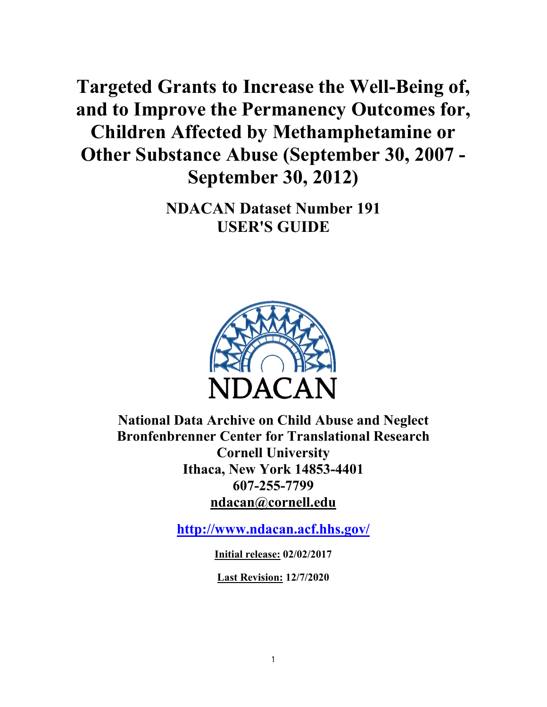<span id="page-0-0"></span>**Targeted Grants to Increase the Well-Being of, and to Improve the Permanency Outcomes for, Children Affected by Methamphetamine or Other Substance Abuse (September 30, 2007 - September 30, 2012)**

> **NDACAN Dataset Number 191** 21B**USER'S GUIDE**



**National Data Archive on Child Abuse and Neglect Bronfenbrenner Center for Translational Research Cornell University Ithaca, New York 14853-4401 607-255-7799 ndacan@cornell.edu**

**<http://www.ndacan.acf.hhs.gov/>**

**Initial release: 02/02/2017**

**Last Revision: 12/7/2020**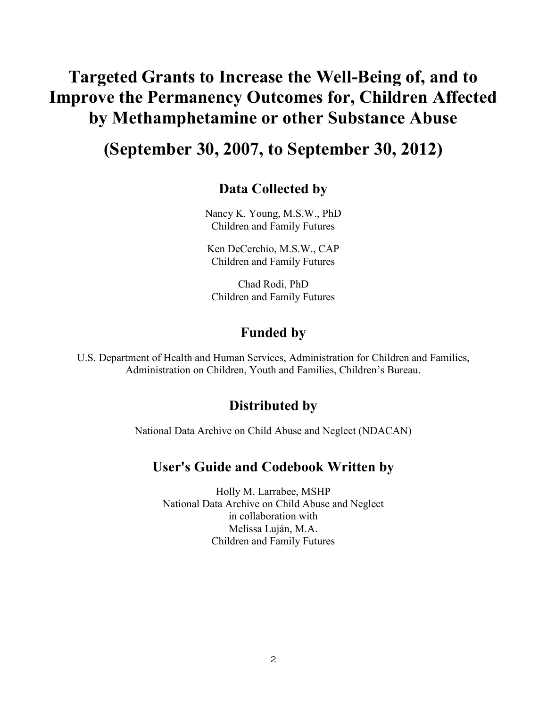# **Targeted Grants to Increase the Well-Being of, and to Improve the Permanency Outcomes for, Children Affected by Methamphetamine or other Substance Abuse**

# **(September 30, 2007, to September 30, 2012)**

# **Data Collected by**

Nancy K. Young, M.S.W., PhD Children and Family Futures

Ken DeCerchio, M.S.W., CAP Children and Family Futures

Chad Rodi, PhD Children and Family Futures

# **Funded by**

U.S. Department of Health and Human Services, Administration for Children and Families, Administration on Children, Youth and Families, Children's Bureau.

# **Distributed by**

National Data Archive on Child Abuse and Neglect (NDACAN)

# **User's Guide and Codebook Written by**

Holly M. Larrabee, MSHP National Data Archive on Child Abuse and Neglect in collaboration with Melissa Luján, M.A. Children and Family Futures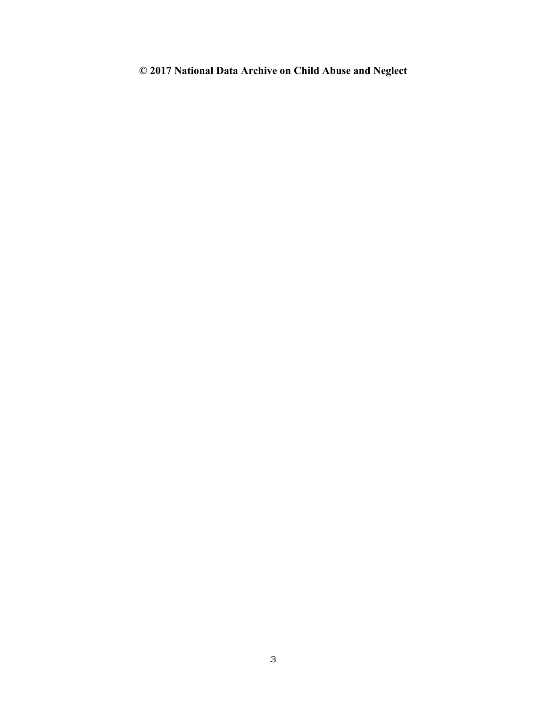# **© 2017 National Data Archive on Child Abuse and Neglect**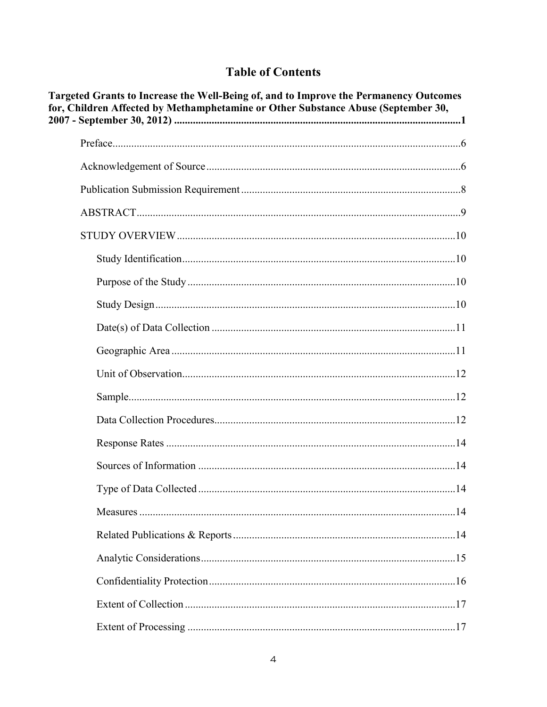# **Table of Contents**

| Targeted Grants to Increase the Well-Being of, and to Improve the Permanency Outcomes<br>for, Children Affected by Methamphetamine or Other Substance Abuse (September 30, |  |  |
|----------------------------------------------------------------------------------------------------------------------------------------------------------------------------|--|--|
|                                                                                                                                                                            |  |  |
|                                                                                                                                                                            |  |  |
|                                                                                                                                                                            |  |  |
|                                                                                                                                                                            |  |  |
|                                                                                                                                                                            |  |  |
|                                                                                                                                                                            |  |  |
|                                                                                                                                                                            |  |  |
|                                                                                                                                                                            |  |  |
|                                                                                                                                                                            |  |  |
|                                                                                                                                                                            |  |  |
|                                                                                                                                                                            |  |  |
|                                                                                                                                                                            |  |  |
|                                                                                                                                                                            |  |  |
|                                                                                                                                                                            |  |  |
|                                                                                                                                                                            |  |  |
|                                                                                                                                                                            |  |  |
|                                                                                                                                                                            |  |  |
|                                                                                                                                                                            |  |  |
|                                                                                                                                                                            |  |  |
|                                                                                                                                                                            |  |  |
|                                                                                                                                                                            |  |  |
|                                                                                                                                                                            |  |  |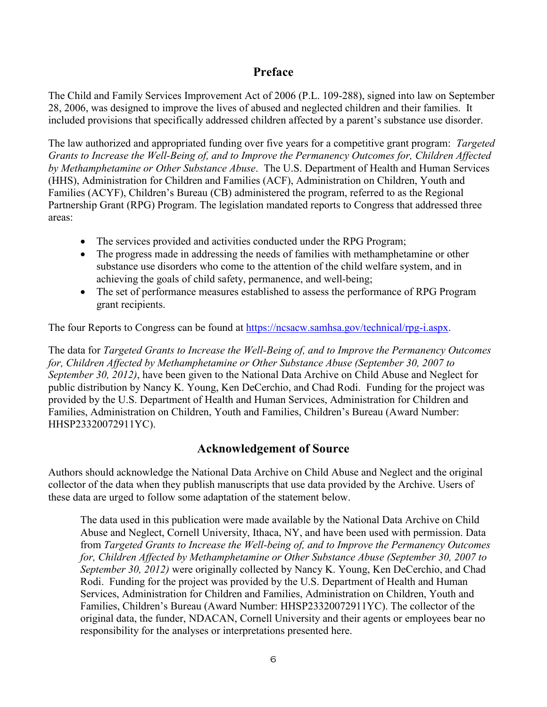# **Preface**

<span id="page-5-0"></span>The Child and Family Services Improvement Act of 2006 (P.L. 109-288), signed into law on September 28, 2006, was designed to improve the lives of abused and neglected children and their families. It included provisions that specifically addressed children affected by a parent's substance use disorder.

The law authorized and appropriated funding over five years for a competitive grant program: *Targeted Grants to Increase the Well-Being of, and to Improve the Permanency Outcomes for, Children Affected by Methamphetamine or Other Substance Abuse*. The U.S. Department of Health and Human Services (HHS), Administration for Children and Families (ACF), Administration on Children, Youth and Families (ACYF), Children's Bureau (CB) administered the program, referred to as the Regional Partnership Grant (RPG) Program. The legislation mandated reports to Congress that addressed three areas:

- The services provided and activities conducted under the RPG Program;
- The progress made in addressing the needs of families with methamphetamine or other substance use disorders who come to the attention of the child welfare system, and in achieving the goals of child safety, permanence, and well-being;
- The set of performance measures established to assess the performance of RPG Program grant recipients.

The four Reports to Congress can be found at <https://ncsacw.samhsa.gov/technical/rpg-i.aspx>.

The data for *Targeted Grants to Increase the Well-Being of, and to Improve the Permanency Outcomes for, Children Affected by Methamphetamine or Other Substance Abuse (September 30, 2007 to September 30, 2012)*, have been given to the National Data Archive on Child Abuse and Neglect for public distribution by Nancy K. Young, Ken DeCerchio, and Chad Rodi. Funding for the project was provided by the U.S. Department of Health and Human Services, Administration for Children and Families, Administration on Children, Youth and Families, Children's Bureau (Award Number: HHSP23320072911YC).

# **Acknowledgement of Source**

<span id="page-5-1"></span>Authors should acknowledge the National Data Archive on Child Abuse and Neglect and the original collector of the data when they publish manuscripts that use data provided by the Archive. Users of these data are urged to follow some adaptation of the statement below.

The data used in this publication were made available by the National Data Archive on Child Abuse and Neglect, Cornell University, Ithaca, NY, and have been used with permission. Data from *Targeted Grants to Increase the Well-being of, and to Improve the Permanency Outcomes for, Children Affected by Methamphetamine or Other Substance Abuse (September 30, 2007 to September 30, 2012)* were originally collected by Nancy K. Young, Ken DeCerchio, and Chad Rodi. Funding for the project was provided by the U.S. Department of Health and Human Services, Administration for Children and Families, Administration on Children, Youth and Families, Children's Bureau (Award Number: HHSP23320072911YC). The collector of the original data, the funder, NDACAN, Cornell University and their agents or employees bear no responsibility for the analyses or interpretations presented here.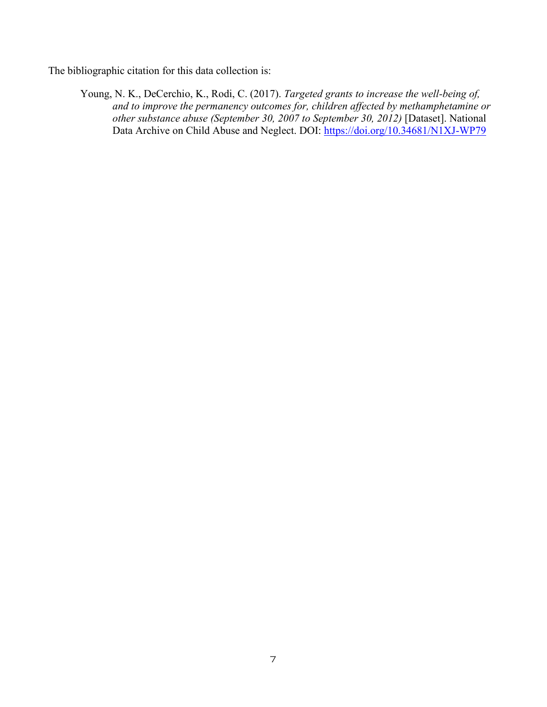The bibliographic citation for this data collection is:

Young, N. K., DeCerchio, K., Rodi, C. (2017). *Targeted grants to increase the well-being of, and to improve the permanency outcomes for, children affected by methamphetamine or other substance abuse (September 30, 2007 to September 30, 2012)* [Dataset]. National Data Archive on Child Abuse and Neglect. DOI: <https://doi.org/10.34681/N1XJ-WP79>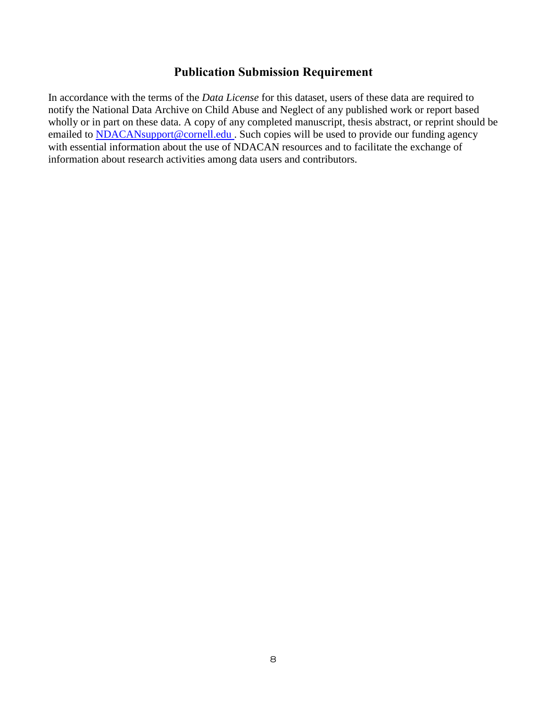# **Publication Submission Requirement**

<span id="page-7-0"></span>In accordance with the terms of the *Data License* for this dataset, users of these data are required to notify the National Data Archive on Child Abuse and Neglect of any published work or report based wholly or in part on these data. A copy of any completed manuscript, thesis abstract, or reprint should be emailed to **NDACAN**support@cornell.edu . Such copies will be used to provide our funding agency with essential information about the use of NDACAN resources and to facilitate the exchange of information about research activities among data users and contributors.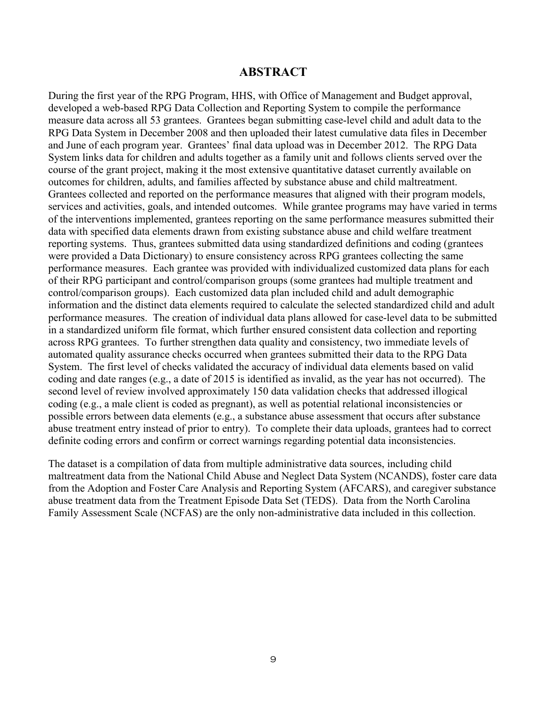#### **ABSTRACT**

<span id="page-8-0"></span>During the first year of the RPG Program, HHS, with Office of Management and Budget approval, developed a web-based RPG Data Collection and Reporting System to compile the performance measure data across all 53 grantees. Grantees began submitting case-level child and adult data to the RPG Data System in December 2008 and then uploaded their latest cumulative data files in December and June of each program year. Grantees' final data upload was in December 2012. The RPG Data System links data for children and adults together as a family unit and follows clients served over the course of the grant project, making it the most extensive quantitative dataset currently available on outcomes for children, adults, and families affected by substance abuse and child maltreatment. Grantees collected and reported on the performance measures that aligned with their program models, services and activities, goals, and intended outcomes. While grantee programs may have varied in terms of the interventions implemented, grantees reporting on the same performance measures submitted their data with specified data elements drawn from existing substance abuse and child welfare treatment reporting systems. Thus, grantees submitted data using standardized definitions and coding (grantees were provided a Data Dictionary) to ensure consistency across RPG grantees collecting the same performance measures. Each grantee was provided with individualized customized data plans for each of their RPG participant and control/comparison groups (some grantees had multiple treatment and control/comparison groups). Each customized data plan included child and adult demographic information and the distinct data elements required to calculate the selected standardized child and adult performance measures. The creation of individual data plans allowed for case-level data to be submitted in a standardized uniform file format, which further ensured consistent data collection and reporting across RPG grantees. To further strengthen data quality and consistency, two immediate levels of automated quality assurance checks occurred when grantees submitted their data to the RPG Data System. The first level of checks validated the accuracy of individual data elements based on valid coding and date ranges (e.g., a date of 2015 is identified as invalid, as the year has not occurred). The second level of review involved approximately 150 data validation checks that addressed illogical coding (e.g., a male client is coded as pregnant), as well as potential relational inconsistencies or possible errors between data elements (e.g., a substance abuse assessment that occurs after substance abuse treatment entry instead of prior to entry). To complete their data uploads, grantees had to correct definite coding errors and confirm or correct warnings regarding potential data inconsistencies.

The dataset is a compilation of data from multiple administrative data sources, including child maltreatment data from the National Child Abuse and Neglect Data System (NCANDS), foster care data from the Adoption and Foster Care Analysis and Reporting System (AFCARS), and caregiver substance abuse treatment data from the Treatment Episode Data Set (TEDS). Data from the North Carolina Family Assessment Scale (NCFAS) are the only non-administrative data included in this collection.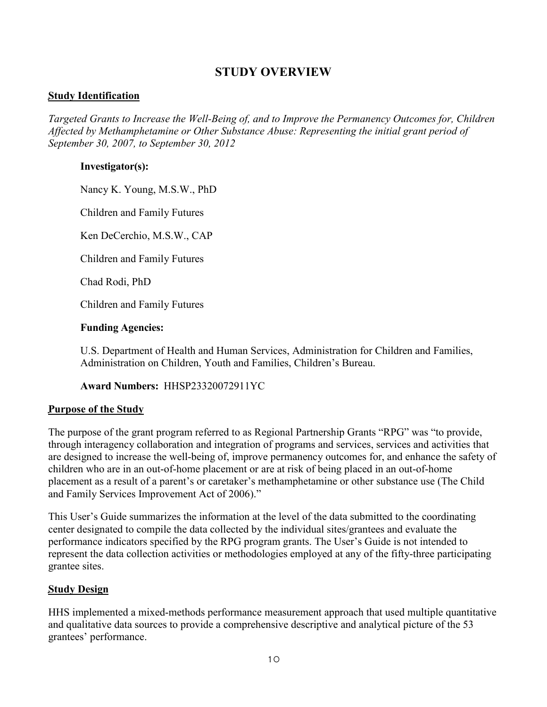# **STUDY OVERVIEW**

### <span id="page-9-1"></span><span id="page-9-0"></span>**<u>Study Identification</u>**

*Targeted Grants to Increase the Well-Being of, and to Improve the Permanency Outcomes for, Children Affected by Methamphetamine or Other Substance Abuse: Representing the initial grant period of September 30, 2007, to September 30, 2012*

#### **Investigator(s):**

Nancy K. Young, M.S.W., PhD

Children and Family Futures

Ken DeCerchio, M.S.W., CAP

Children and Family Futures

Chad Rodi, PhD

Children and Family Futures

#### **Funding Agencies:**

U.S. Department of Health and Human Services, Administration for Children and Families, Administration on Children, Youth and Families, Children's Bureau.

**Award Numbers:** HHSP23320072911YC

#### <span id="page-9-2"></span>3BU**Purpose of the Study**

The purpose of the grant program referred to as Regional Partnership Grants "RPG" was "to provide, through interagency collaboration and integration of programs and services, services and activities that are designed to increase the well-being of, improve permanency outcomes for, and enhance the safety of children who are in an out-of-home placement or are at risk of being placed in an out-of-home placement as a result of a parent's or caretaker's methamphetamine or other substance use (The Child and Family Services Improvement Act of 2006)."

This User's Guide summarizes the information at the level of the data submitted to the coordinating center designated to compile the data collected by the individual sites/grantees and evaluate the performance indicators specified by the RPG program grants. The User's Guide is not intended to represent the data collection activities or methodologies employed at any of the fifty-three participating grantee sites.

#### <span id="page-9-3"></span>**Study Design**

HHS implemented a mixed-methods performance measurement approach that used multiple quantitative and qualitative data sources to provide a comprehensive descriptive and analytical picture of the 53 grantees' performance.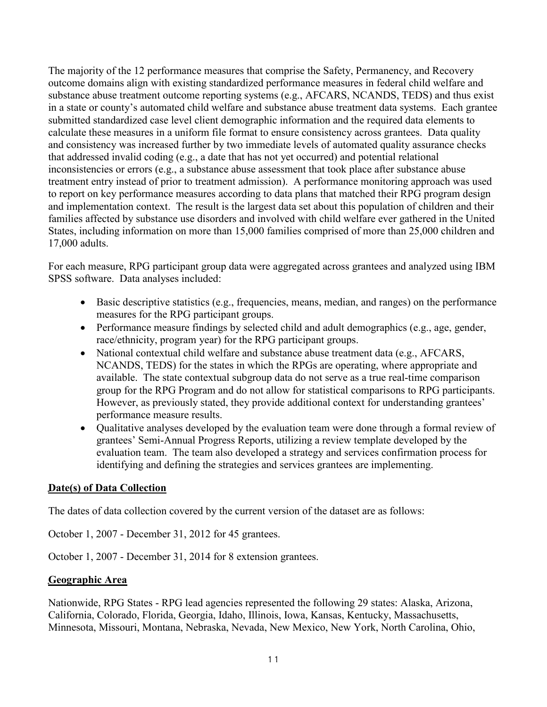The majority of the 12 performance measures that comprise the Safety, Permanency, and Recovery outcome domains align with existing standardized performance measures in federal child welfare and substance abuse treatment outcome reporting systems (e.g., AFCARS, NCANDS, TEDS) and thus exist in a state or county's automated child welfare and substance abuse treatment data systems. Each grantee submitted standardized case level client demographic information and the required data elements to calculate these measures in a uniform file format to ensure consistency across grantees. Data quality and consistency was increased further by two immediate levels of automated quality assurance checks that addressed invalid coding (e.g., a date that has not yet occurred) and potential relational inconsistencies or errors (e.g., a substance abuse assessment that took place after substance abuse treatment entry instead of prior to treatment admission). A performance monitoring approach was used to report on key performance measures according to data plans that matched their RPG program design and implementation context. The result is the largest data set about this population of children and their families affected by substance use disorders and involved with child welfare ever gathered in the United States, including information on more than 15,000 families comprised of more than 25,000 children and 17,000 adults.

For each measure, RPG participant group data were aggregated across grantees and analyzed using IBM SPSS software. Data analyses included:

- · Basic descriptive statistics (e.g., frequencies, means, median, and ranges) on the performance measures for the RPG participant groups.
- · Performance measure findings by selected child and adult demographics (e.g., age, gender, race/ethnicity, program year) for the RPG participant groups.
- National contextual child welfare and substance abuse treatment data (e.g., AFCARS, NCANDS, TEDS) for the states in which the RPGs are operating, where appropriate and available. The state contextual subgroup data do not serve as a true real-time comparison group for the RPG Program and do not allow for statistical comparisons to RPG participants. However, as previously stated, they provide additional context for understanding grantees' performance measure results.
- · Qualitative analyses developed by the evaluation team were done through a formal review of grantees' Semi-Annual Progress Reports, utilizing a review template developed by the evaluation team. The team also developed a strategy and services confirmation process for identifying and defining the strategies and services grantees are implementing.

# <span id="page-10-0"></span>**Date(s) of Data Collection**

The dates of data collection covered by the current version of the dataset are as follows:

October 1, 2007 - December 31, 2012 for 45 grantees.

October 1, 2007 - December 31, 2014 for 8 extension grantees.

# <span id="page-10-1"></span>6BU**Geographic Area**

Nationwide, RPG States - RPG lead agencies represented the following 29 states: Alaska, Arizona, California, Colorado, Florida, Georgia, Idaho, Illinois, Iowa, Kansas, Kentucky, Massachusetts, Minnesota, Missouri, Montana, Nebraska, Nevada, New Mexico, New York, North Carolina, Ohio,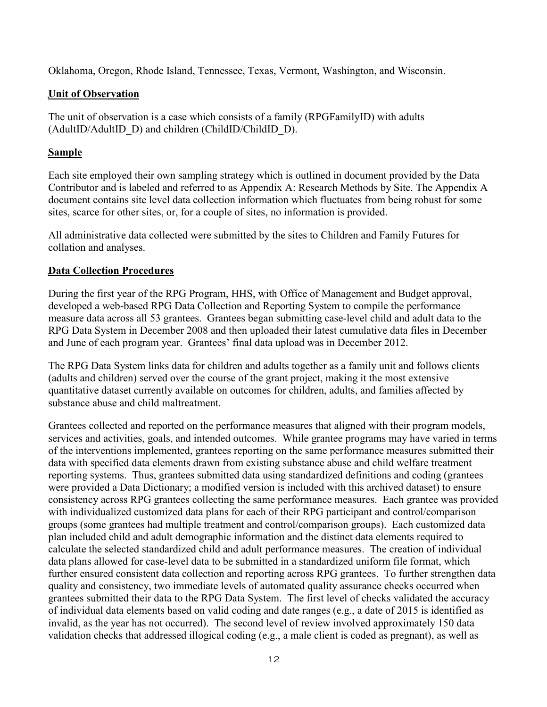Oklahoma, Oregon, Rhode Island, Tennessee, Texas, Vermont, Washington, and Wisconsin.

# <span id="page-11-0"></span>**Unit of Observation**

The unit of observation is a case which consists of a family (RPGFamilyID) with adults (AdultID/AdultID\_D) and children (ChildID/ChildID\_D).

# <span id="page-11-1"></span>Sample

Each site employed their own sampling strategy which is outlined in document provided by the Data Contributor and is labeled and referred to as Appendix A: Research Methods by Site. The Appendix A document contains site level data collection information which fluctuates from being robust for some sites, scarce for other sites, or, for a couple of sites, no information is provided.

All administrative data collected were submitted by the sites to Children and Family Futures for collation and analyses.

# <span id="page-11-2"></span>**Data Collection Procedures**

During the first year of the RPG Program, HHS, with Office of Management and Budget approval, developed a web-based RPG Data Collection and Reporting System to compile the performance measure data across all 53 grantees. Grantees began submitting case-level child and adult data to the RPG Data System in December 2008 and then uploaded their latest cumulative data files in December and June of each program year. Grantees' final data upload was in December 2012.

The RPG Data System links data for children and adults together as a family unit and follows clients (adults and children) served over the course of the grant project, making it the most extensive quantitative dataset currently available on outcomes for children, adults, and families affected by substance abuse and child maltreatment.

Grantees collected and reported on the performance measures that aligned with their program models, services and activities, goals, and intended outcomes. While grantee programs may have varied in terms of the interventions implemented, grantees reporting on the same performance measures submitted their data with specified data elements drawn from existing substance abuse and child welfare treatment reporting systems. Thus, grantees submitted data using standardized definitions and coding (grantees were provided a Data Dictionary; a modified version is included with this archived dataset) to ensure consistency across RPG grantees collecting the same performance measures. Each grantee was provided with individualized customized data plans for each of their RPG participant and control/comparison groups (some grantees had multiple treatment and control/comparison groups). Each customized data plan included child and adult demographic information and the distinct data elements required to calculate the selected standardized child and adult performance measures. The creation of individual data plans allowed for case-level data to be submitted in a standardized uniform file format, which further ensured consistent data collection and reporting across RPG grantees. To further strengthen data quality and consistency, two immediate levels of automated quality assurance checks occurred when grantees submitted their data to the RPG Data System. The first level of checks validated the accuracy of individual data elements based on valid coding and date ranges (e.g., a date of 2015 is identified as invalid, as the year has not occurred). The second level of review involved approximately 150 data validation checks that addressed illogical coding (e.g., a male client is coded as pregnant), as well as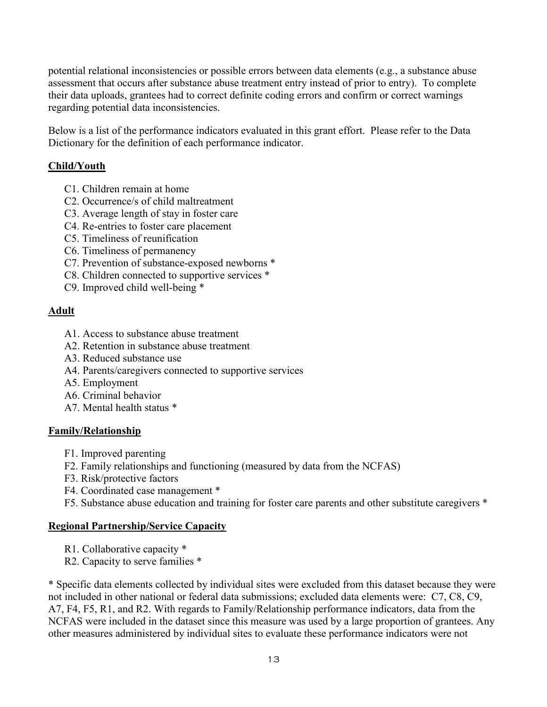potential relational inconsistencies or possible errors between data elements (e.g., a substance abuse assessment that occurs after substance abuse treatment entry instead of prior to entry). To complete their data uploads, grantees had to correct definite coding errors and confirm or correct warnings regarding potential data inconsistencies.

Below is a list of the performance indicators evaluated in this grant effort. Please refer to the Data Dictionary for the definition of each performance indicator.

# **Child/Youth**

- C1. Children remain at home
- C2. Occurrence/s of child maltreatment
- C3. Average length of stay in foster care
- C4. Re-entries to foster care placement
- C5. Timeliness of reunification
- C6. Timeliness of permanency
- C7. Prevention of substance-exposed newborns \*
- C8. Children connected to supportive services \*
- C9. Improved child well-being \*

# **Adult**

- A1. Access to substance abuse treatment
- A2. Retention in substance abuse treatment
- A3. Reduced substance use
- A4. Parents/caregivers connected to supportive services
- A5. Employment
- A6. Criminal behavior
- A7. Mental health status \*

# **Family/Relationship**

- F1. Improved parenting
- F2. Family relationships and functioning (measured by data from the NCFAS)
- F3. Risk/protective factors
- F4. Coordinated case management \*
- F5. Substance abuse education and training for foster care parents and other substitute caregivers \*

# **Regional Partnership/Service Capacity**

- R1. Collaborative capacity \*
- R2. Capacity to serve families \*

\* Specific data elements collected by individual sites were excluded from this dataset because they were not included in other national or federal data submissions; excluded data elements were: C7, C8, C9, A7, F4, F5, R1, and R2. With regards to Family/Relationship performance indicators, data from the NCFAS were included in the dataset since this measure was used by a large proportion of grantees. Any other measures administered by individual sites to evaluate these performance indicators were not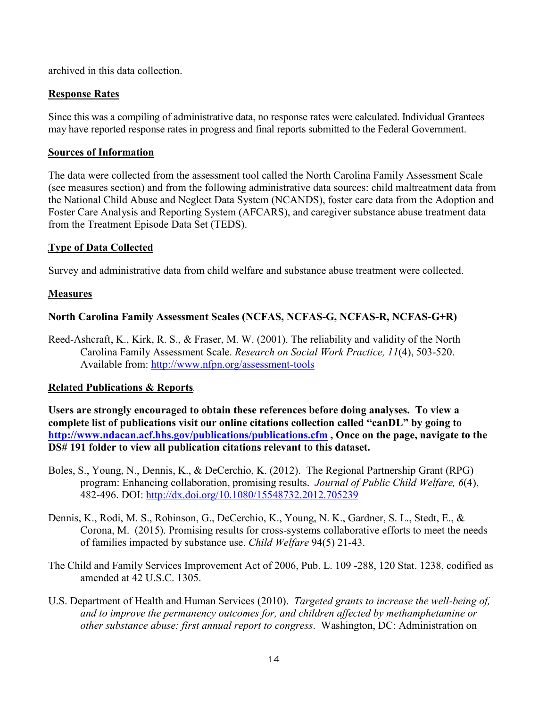archived in this data collection.

### <span id="page-13-0"></span>**Response Rates**

Since this was a compiling of administrative data, no response rates were calculated. Individual Grantees may have reported response rates in progress and final reports submitted to the Federal Government.

#### <span id="page-13-1"></span>**Sources of Information**

The data were collected from the assessment tool called the North Carolina Family Assessment Scale (see measures section) and from the following administrative data sources: child maltreatment data from the National Child Abuse and Neglect Data System (NCANDS), foster care data from the Adoption and Foster Care Analysis and Reporting System (AFCARS), and caregiver substance abuse treatment data from the Treatment Episode Data Set (TEDS).

# <span id="page-13-2"></span>**Type of Data Collected**

Survey and administrative data from child welfare and substance abuse treatment were collected.

# <span id="page-13-3"></span>13BU**Measures**

# **North Carolina Family Assessment Scales (NCFAS, NCFAS-G, NCFAS-R, NCFAS-G+R)**

Reed-Ashcraft, K., Kirk, R. S., & Fraser, M. W. (2001). The reliability and validity of the North Carolina Family Assessment Scale. *Research on Social Work Practice, 11*(4), 503-520. Available from:<http://www.nfpn.org/assessment-tools>

# <span id="page-13-4"></span>**Related Publications & Reports**

**Users are strongly encouraged to obtain these references before doing analyses. To view a complete list of publications visit our online citations collection called "canDL" by going to**  <http://www.ndacan.acf.hhs.gov/publications/publications.cfm>, Once on the page, navigate to the **DS# 191 folder to view all publication citations relevant to this dataset.**

- Boles, S., Young, N., Dennis, K., & DeCerchio, K. (2012). The Regional Partnership Grant (RPG) program: Enhancing collaboration, promising results. *Journal of Public Child Welfare, 6*(4), 482-496. DOI: <http://dx.doi.org/10.1080/15548732.2012.705239>
- Dennis, K., Rodi, M. S., Robinson, G., DeCerchio, K., Young, N. K., Gardner, S. L., Stedt, E., & Corona, M. (2015). Promising results for cross-systems collaborative efforts to meet the needs of families impacted by substance use. *Child Welfare* 94(5) 21-43.
- The Child and Family Services Improvement Act of 2006, Pub. L. 109 -288, 120 Stat. 1238, codified as amended at 42 U.S.C. 1305.
- U.S. Department of Health and Human Services (2010). *Targeted grants to increase the well-being of, and to improve the permanency outcomes for, and children affected by methamphetamine or other substance abuse: first annual report to congress*. Washington, DC: Administration on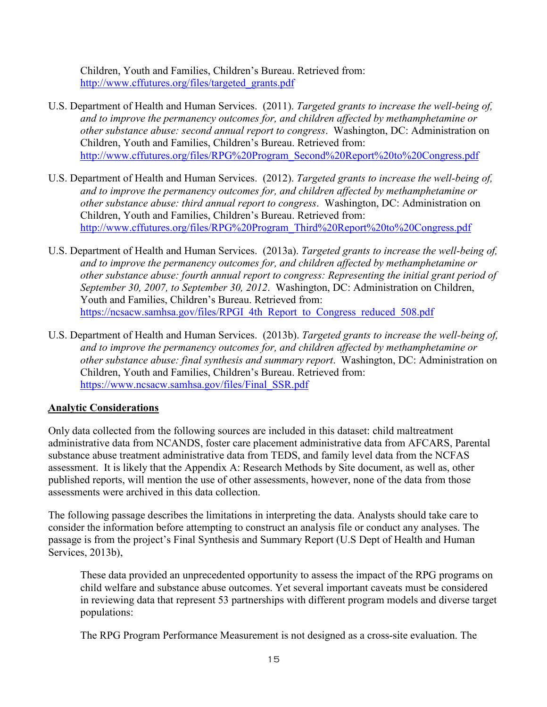Children, Youth and Families, Children's Bureau. Retrieved from: [http://www.cffutures.org/files/targeted\\_grants.pdf](http://www.cffutures.org/files/targeted_grants.pdf)

- U.S. Department of Health and Human Services. (2011). *Targeted grants to increase the well-being of, and to improve the permanency outcomes for, and children affected by methamphetamine or other substance abuse: second annual report to congress*. Washington, DC: Administration on Children, Youth and Families, Children's Bureau. Retrieved from: [http://www.cffutures.org/files/RPG%20Program\\_Second%20Report%20to%20Congress.pdf](http://www.cffutures.org/files/RPG Program_Second Report to Congress.pdf)
- U.S. Department of Health and Human Services. (2012). *Targeted grants to increase the well-being of, and to improve the permanency outcomes for, and children affected by methamphetamine or other substance abuse: third annual report to congress*. Washington, DC: Administration on Children, Youth and Families, Children's Bureau. Retrieved from: [http://www.cffutures.org/files/RPG%20Program\\_Third%20Report%20to%20Congress.pdf](http://www.cffutures.org/files/RPG Program_Third Report to Congress.pdf)
- U.S. Department of Health and Human Services. (2013a). *Targeted grants to increase the well-being of, and to improve the permanency outcomes for, and children affected by methamphetamine or other substance abuse: fourth annual report to congress: Representing the initial grant period of September 30, 2007, to September 30, 2012*. Washington, DC: Administration on Children, Youth and Families, Children's Bureau. Retrieved from: [https://ncsacw.samhsa.gov/files/RPGI\\_4th\\_Report\\_to\\_Congress\\_reduced\\_508.pdf](https://ncsacw.samhsa.gov/files/RPGI_4th_Report_to_Congress_reduced_508.pdf)
- U.S. Department of Health and Human Services. (2013b). *Targeted grants to increase the well-being of, and to improve the permanency outcomes for, and children affected by methamphetamine or other substance abuse: final synthesis and summary report*. Washington, DC: Administration on Children, Youth and Families, Children's Bureau. Retrieved from: [https://www.ncsacw.samhsa.gov/files/Final\\_SSR.pdf](https://www.ncsacw.samhsa.gov/files/Final_SSR.pdf)

# <span id="page-14-0"></span>**Analytic Considerations**

Only data collected from the following sources are included in this dataset: child maltreatment administrative data from NCANDS, foster care placement administrative data from AFCARS, Parental substance abuse treatment administrative data from TEDS, and family level data from the NCFAS assessment. It is likely that the Appendix A: Research Methods by Site document, as well as, other published reports, will mention the use of other assessments, however, none of the data from those assessments were archived in this data collection.

The following passage describes the limitations in interpreting the data. Analysts should take care to consider the information before attempting to construct an analysis file or conduct any analyses. The passage is from the project's Final Synthesis and Summary Report (U.S Dept of Health and Human Services, 2013b),

These data provided an unprecedented opportunity to assess the impact of the RPG programs on child welfare and substance abuse outcomes. Yet several important caveats must be considered in reviewing data that represent 53 partnerships with different program models and diverse target populations:

The RPG Program Performance Measurement is not designed as a cross-site evaluation. The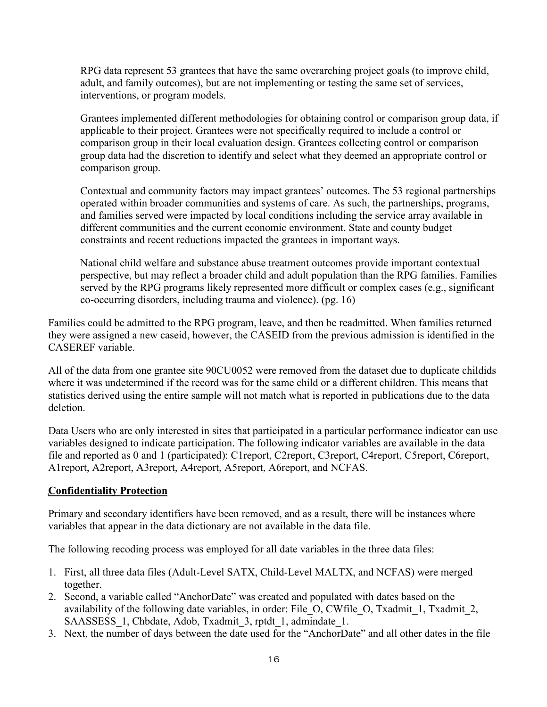RPG data represent 53 grantees that have the same overarching project goals (to improve child, adult, and family outcomes), but are not implementing or testing the same set of services, interventions, or program models.

Grantees implemented different methodologies for obtaining control or comparison group data, if applicable to their project. Grantees were not specifically required to include a control or comparison group in their local evaluation design. Grantees collecting control or comparison group data had the discretion to identify and select what they deemed an appropriate control or comparison group.

Contextual and community factors may impact grantees' outcomes. The 53 regional partnerships operated within broader communities and systems of care. As such, the partnerships, programs, and families served were impacted by local conditions including the service array available in different communities and the current economic environment. State and county budget constraints and recent reductions impacted the grantees in important ways.

National child welfare and substance abuse treatment outcomes provide important contextual perspective, but may reflect a broader child and adult population than the RPG families. Families served by the RPG programs likely represented more difficult or complex cases (e.g., significant co-occurring disorders, including trauma and violence). (pg. 16)

Families could be admitted to the RPG program, leave, and then be readmitted. When families returned they were assigned a new caseid, however, the CASEID from the previous admission is identified in the CASEREF variable.

All of the data from one grantee site 90CU0052 were removed from the dataset due to duplicate childids where it was undetermined if the record was for the same child or a different children. This means that statistics derived using the entire sample will not match what is reported in publications due to the data deletion.

Data Users who are only interested in sites that participated in a particular performance indicator can use variables designed to indicate participation. The following indicator variables are available in the data file and reported as 0 and 1 (participated): C1report, C2report, C3report, C4report, C5report, C6report, A1report, A2report, A3report, A4report, A5report, A6report, and NCFAS.

# <span id="page-15-0"></span>**Confidentiality Protection**

Primary and secondary identifiers have been removed, and as a result, there will be instances where variables that appear in the data dictionary are not available in the data file.

The following recoding process was employed for all date variables in the three data files:

- 1. First, all three data files (Adult-Level SATX, Child-Level MALTX, and NCFAS) were merged together.
- 2. Second, a variable called "AnchorDate" was created and populated with dates based on the availability of the following date variables, in order: File\_O, CWfile\_O, Txadmit\_1, Txadmit\_2, SAASSESS 1, Chbdate, Adob, Txadmit 3, rptdt 1, admindate 1.
- 3. Next, the number of days between the date used for the "AnchorDate" and all other dates in the file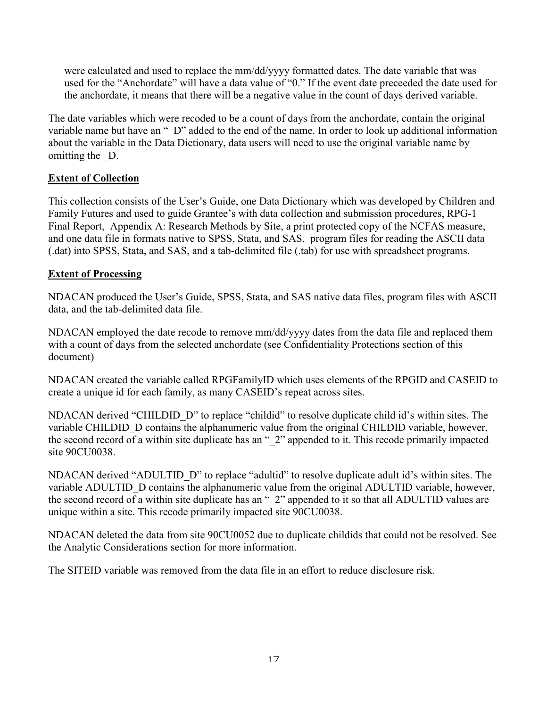were calculated and used to replace the mm/dd/yyyy formatted dates. The date variable that was used for the "Anchordate" will have a data value of "0." If the event date preceeded the date used for the anchordate, it means that there will be a negative value in the count of days derived variable.

The date variables which were recoded to be a count of days from the anchordate, contain the original variable name but have an " D" added to the end of the name. In order to look up additional information about the variable in the Data Dictionary, data users will need to use the original variable name by omitting the D.

# <span id="page-16-0"></span>**Extent of Collection**

This collection consists of the User's Guide, one Data Dictionary which was developed by Children and Family Futures and used to guide Grantee's with data collection and submission procedures, RPG-1 Final Report, Appendix A: Research Methods by Site, a print protected copy of the NCFAS measure, and one data file in formats native to SPSS, Stata, and SAS, program files for reading the ASCII data (.dat) into SPSS, Stata, and SAS, and a tab-delimited file (.tab) for use with spreadsheet programs.

# <span id="page-16-1"></span>**Extent of Processing**

NDACAN produced the User's Guide, SPSS, Stata, and SAS native data files, program files with ASCII data, and the tab-delimited data file.

NDACAN employed the date recode to remove mm/dd/yyyy dates from the data file and replaced them with a count of days from the selected anchordate (see Confidentiality Protections section of this document)

NDACAN created the variable called RPGFamilyID which uses elements of the RPGID and CASEID to create a unique id for each family, as many CASEID's repeat across sites.

NDACAN derived "CHILDID\_D" to replace "childid" to resolve duplicate child id's within sites. The variable CHILDID D contains the alphanumeric value from the original CHILDID variable, however, the second record of a within site duplicate has an " $2$ " appended to it. This recode primarily impacted site 90CU0038.

NDACAN derived "ADULTID\_D" to replace "adultid" to resolve duplicate adult id's within sites. The variable ADULTID D contains the alphanumeric value from the original ADULTID variable, however, the second record of a within site duplicate has an "\_2" appended to it so that all ADULTID values are unique within a site. This recode primarily impacted site 90CU0038.

NDACAN deleted the data from site 90CU0052 due to duplicate childids that could not be resolved. See the Analytic Considerations section for more information.

The SITEID variable was removed from the data file in an effort to reduce disclosure risk.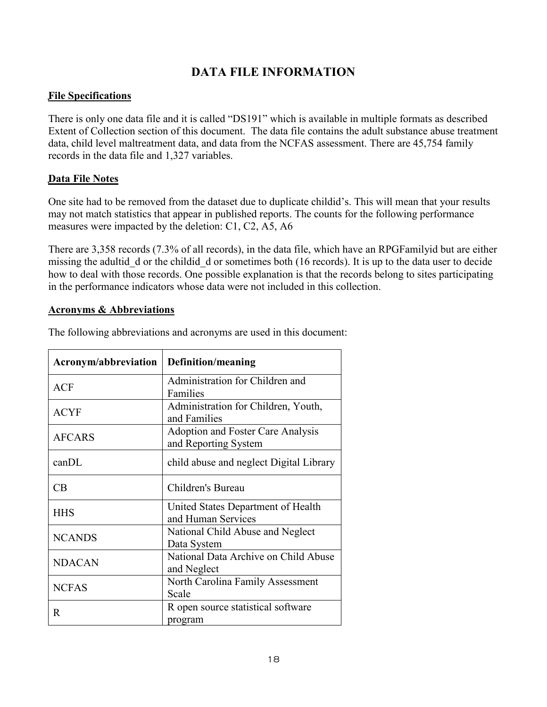# **DATA FILE INFORMATION**

# <span id="page-17-1"></span><span id="page-17-0"></span>**File Specifications**

There is only one data file and it is called "DS191" which is available in multiple formats as described Extent of Collection section of this document. The data file contains the adult substance abuse treatment data, child level maltreatment data, and data from the NCFAS assessment. There are 45,754 family records in the data file and 1,327 variables.

#### <span id="page-17-2"></span>**Data File Notes**

One site had to be removed from the dataset due to duplicate childid's. This will mean that your results may not match statistics that appear in published reports. The counts for the following performance measures were impacted by the deletion: C1, C2, A5, A6

There are 3,358 records (7.3% of all records), in the data file, which have an RPGFamilyid but are either missing the adultid d or the childid d or sometimes both (16 records). It is up to the data user to decide how to deal with those records. One possible explanation is that the records belong to sites participating in the performance indicators whose data were not included in this collection.

#### <span id="page-17-3"></span>**Acronyms & Abbreviations**

| Acronym/abbreviation | <b>Definition/meaning</b>                                 |
|----------------------|-----------------------------------------------------------|
| ACF                  | Administration for Children and<br>Families               |
| <b>ACYF</b>          | Administration for Children, Youth,<br>and Families       |
| <b>AFCARS</b>        | Adoption and Foster Care Analysis<br>and Reporting System |
| $can$ $DL$           | child abuse and neglect Digital Library                   |
| CB                   | Children's Bureau                                         |
| <b>HHS</b>           | United States Department of Health<br>and Human Services  |
| <b>NCANDS</b>        | National Child Abuse and Neglect<br>Data System           |
| <b>NDACAN</b>        | National Data Archive on Child Abuse<br>and Neglect       |
| <b>NCFAS</b>         | North Carolina Family Assessment<br>Scale                 |
| R                    | R open source statistical software<br>program             |

The following abbreviations and acronyms are used in this document: